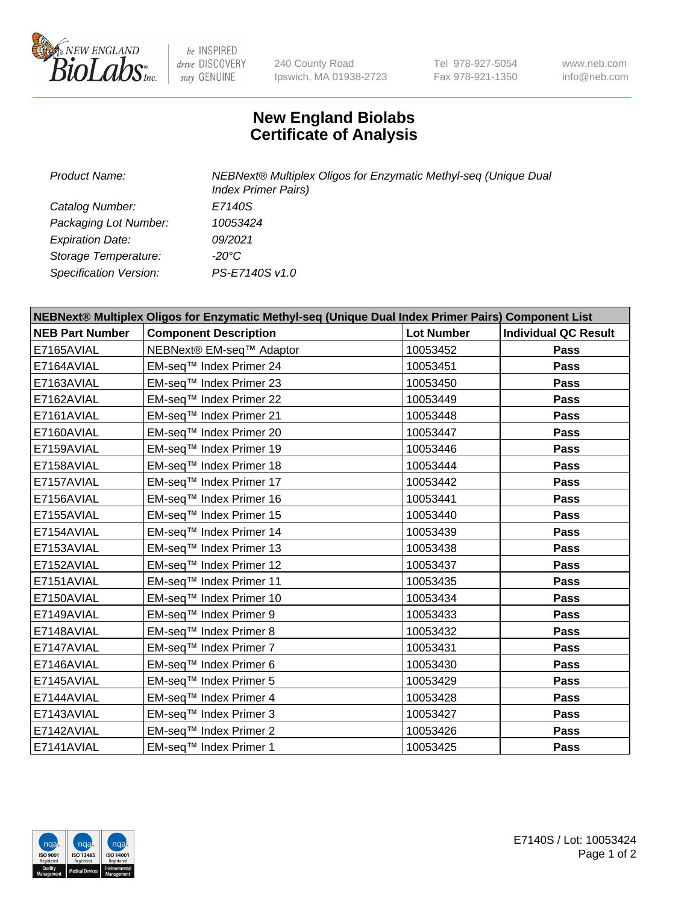

 $be$  INSPIRED drive DISCOVERY stay GENUINE

240 County Road Ipswich, MA 01938-2723 Tel 978-927-5054 Fax 978-921-1350 www.neb.com info@neb.com

## **New England Biolabs Certificate of Analysis**

| <b>Product Name:</b>    | NEBNext® Multiplex Oligos for Enzymatic Methyl-seq (Unique Dual<br><b>Index Primer Pairs)</b> |
|-------------------------|-----------------------------------------------------------------------------------------------|
| Catalog Number:         | E7140S                                                                                        |
| Packaging Lot Number:   | 10053424                                                                                      |
| <b>Expiration Date:</b> | 09/2021                                                                                       |
| Storage Temperature:    | -20°C                                                                                         |
| Specification Version:  | PS-E7140S v1.0                                                                                |

| NEBNext® Multiplex Oligos for Enzymatic Methyl-seq (Unique Dual Index Primer Pairs) Component List |                              |                   |                             |  |
|----------------------------------------------------------------------------------------------------|------------------------------|-------------------|-----------------------------|--|
| <b>NEB Part Number</b>                                                                             | <b>Component Description</b> | <b>Lot Number</b> | <b>Individual QC Result</b> |  |
| E7165AVIAL                                                                                         | NEBNext® EM-seq™ Adaptor     | 10053452          | Pass                        |  |
| E7164AVIAL                                                                                         | EM-seq™ Index Primer 24      | 10053451          | Pass                        |  |
| E7163AVIAL                                                                                         | EM-seq™ Index Primer 23      | 10053450          | Pass                        |  |
| E7162AVIAL                                                                                         | EM-seq™ Index Primer 22      | 10053449          | Pass                        |  |
| E7161AVIAL                                                                                         | EM-seq™ Index Primer 21      | 10053448          | <b>Pass</b>                 |  |
| E7160AVIAL                                                                                         | EM-seq™ Index Primer 20      | 10053447          | <b>Pass</b>                 |  |
| E7159AVIAL                                                                                         | EM-seq™ Index Primer 19      | 10053446          | Pass                        |  |
| E7158AVIAL                                                                                         | EM-seq™ Index Primer 18      | 10053444          | <b>Pass</b>                 |  |
| E7157AVIAL                                                                                         | EM-seq™ Index Primer 17      | 10053442          | Pass                        |  |
| E7156AVIAL                                                                                         | EM-seq™ Index Primer 16      | 10053441          | <b>Pass</b>                 |  |
| E7155AVIAL                                                                                         | EM-seq™ Index Primer 15      | 10053440          | <b>Pass</b>                 |  |
| E7154AVIAL                                                                                         | EM-seq™ Index Primer 14      | 10053439          | Pass                        |  |
| E7153AVIAL                                                                                         | EM-seq™ Index Primer 13      | 10053438          | Pass                        |  |
| E7152AVIAL                                                                                         | EM-seq™ Index Primer 12      | 10053437          | Pass                        |  |
| E7151AVIAL                                                                                         | EM-seq™ Index Primer 11      | 10053435          | Pass                        |  |
| E7150AVIAL                                                                                         | EM-seq™ Index Primer 10      | 10053434          | Pass                        |  |
| E7149AVIAL                                                                                         | EM-seq™ Index Primer 9       | 10053433          | Pass                        |  |
| E7148AVIAL                                                                                         | EM-seq™ Index Primer 8       | 10053432          | Pass                        |  |
| E7147AVIAL                                                                                         | EM-seq™ Index Primer 7       | 10053431          | <b>Pass</b>                 |  |
| E7146AVIAL                                                                                         | EM-seq™ Index Primer 6       | 10053430          | <b>Pass</b>                 |  |
| E7145AVIAL                                                                                         | EM-seq™ Index Primer 5       | 10053429          | Pass                        |  |
| E7144AVIAL                                                                                         | EM-seq™ Index Primer 4       | 10053428          | Pass                        |  |
| E7143AVIAL                                                                                         | EM-seq™ Index Primer 3       | 10053427          | Pass                        |  |
| E7142AVIAL                                                                                         | EM-seq™ Index Primer 2       | 10053426          | <b>Pass</b>                 |  |
| E7141AVIAL                                                                                         | EM-seq™ Index Primer 1       | 10053425          | Pass                        |  |